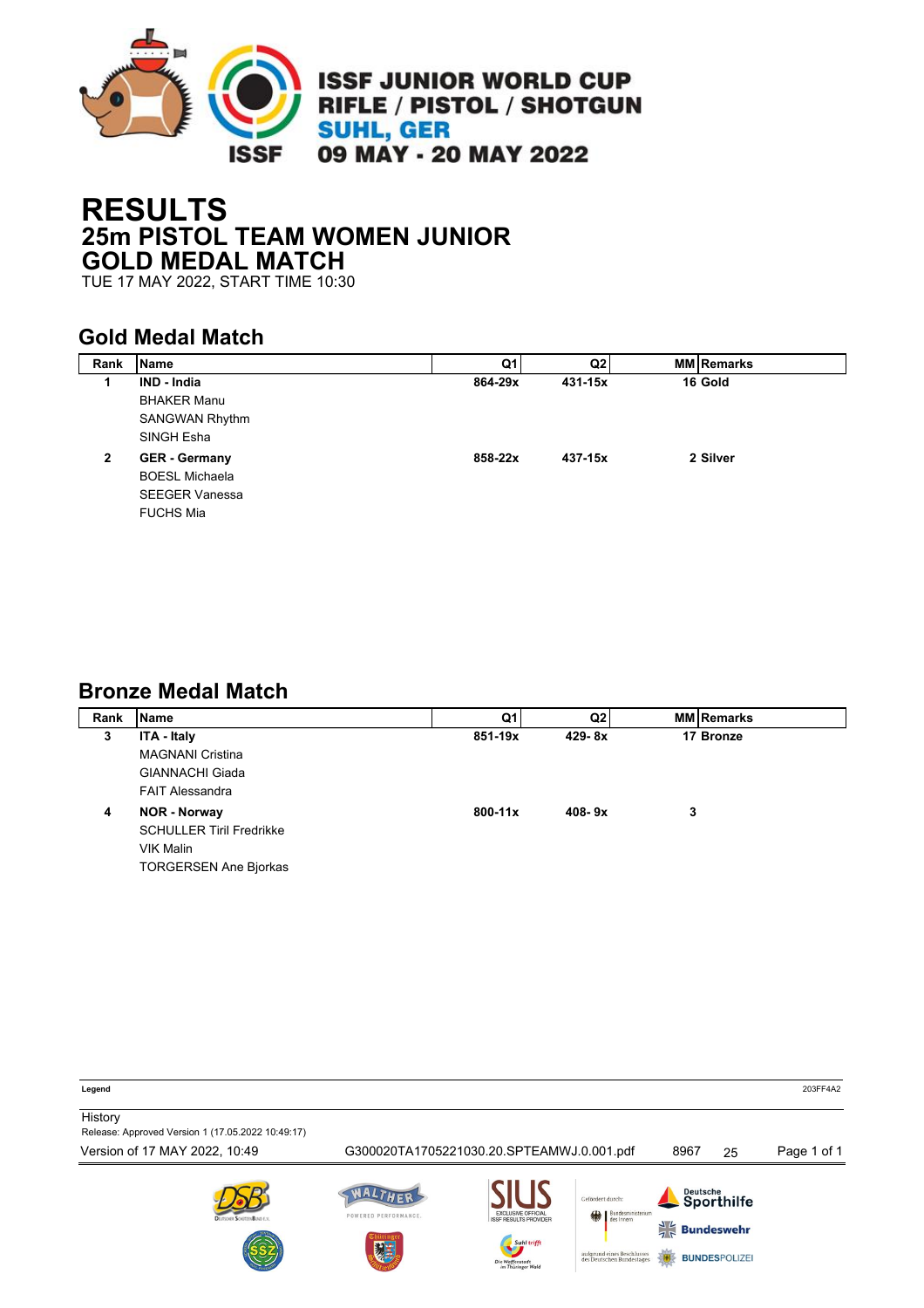

# **RESULTS 25m PISTOL TEAM WOMEN JUNIOR GOLD MEDAL MATCH**

TUE 17 MAY 2022, START TIME 10:30

### **Gold Medal Match**

| <b>Name</b>           | Q1      | Q2      | <b>MM Remarks</b> |
|-----------------------|---------|---------|-------------------|
| <b>IND - India</b>    | 864-29x | 431-15x | 16 Gold           |
| <b>BHAKER Manu</b>    |         |         |                   |
| <b>SANGWAN Rhythm</b> |         |         |                   |
| SINGH Esha            |         |         |                   |
| <b>GER</b> - Germany  |         |         | 2 Silver          |
| <b>BOESL Michaela</b> |         |         |                   |
| <b>SEEGER Vanessa</b> |         |         |                   |
| <b>FUCHS Mia</b>      |         |         |                   |
|                       |         | 858-22x | 437-15x           |

#### **Bronze Medal Match**

| Rank | <b>Name</b>                     | Q1          | Q2         |   | <b>MM Remarks</b> |
|------|---------------------------------|-------------|------------|---|-------------------|
| 3    | ITA - Italy                     | 851-19x     | $429 - 8x$ |   | 17 Bronze         |
|      | <b>MAGNANI Cristina</b>         |             |            |   |                   |
|      | <b>GIANNACHI Giada</b>          |             |            |   |                   |
|      | <b>FAIT Alessandra</b>          |             |            |   |                   |
| 4    | <b>NOR - Norway</b>             | $800 - 11x$ | $408 - 9x$ | 3 |                   |
|      | <b>SCHULLER Tiril Fredrikke</b> |             |            |   |                   |
|      | VIK Malin                       |             |            |   |                   |
|      | <b>TORGERSEN Ane Bjorkas</b>    |             |            |   |                   |

**Legend** 203FF4A2 **History** Release: Approved Version 1 (17.05.2022 10:49:17) Version of 17 MAY 2022, 10:49 G300020TA1705221030.20.SPTEAMWJ.0.001.pdf 8967 25 Page 1 of 1WALTHER Deutsche<br>Sporthilfe .<br>Cefördert durch POWERED PERFORMANCE.  $\frac{1}{2}$  Bundeswehr aufgrund eines Besch<br>des Deutschen Bunde **BUNDESPOLIZE**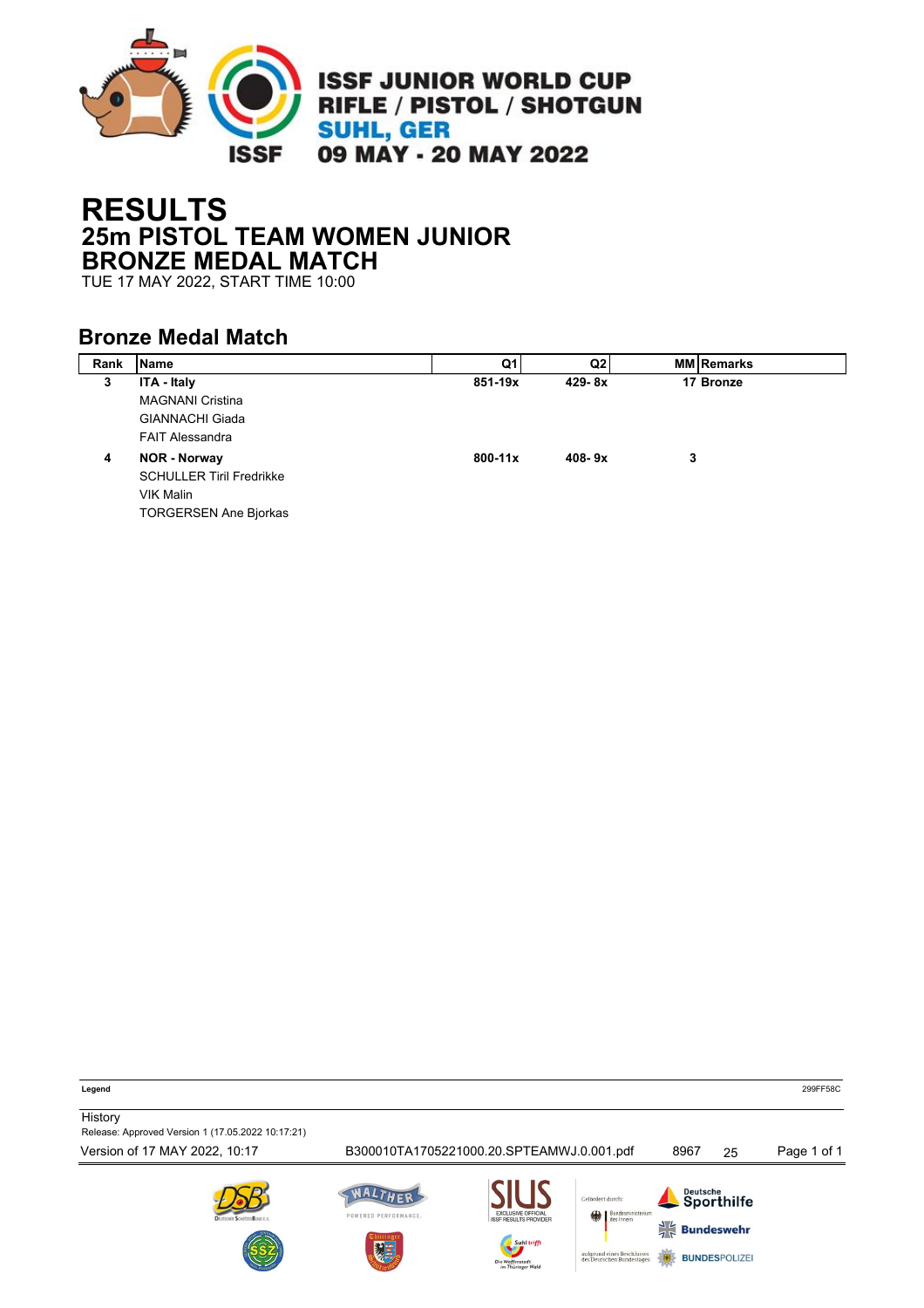

# **RESULTS 25m PISTOL TEAM WOMEN JUNIOR BRONZE MEDAL MATCH**

TUE 17 MAY 2022, START TIME 10:00

### **Bronze Medal Match**

| Rank | <b>Name</b>                     | Q1          | Q <sub>2</sub> |   | <b>MM Remarks</b> |
|------|---------------------------------|-------------|----------------|---|-------------------|
| 3    | ITA - Italy                     | 851-19x     | $429 - 8x$     |   | 17 Bronze         |
|      | <b>MAGNANI Cristina</b>         |             |                |   |                   |
|      | <b>GIANNACHI Giada</b>          |             |                |   |                   |
|      | <b>FAIT Alessandra</b>          |             |                |   |                   |
| 4    | <b>NOR - Norway</b>             | $800 - 11x$ | $408 - 9x$     | 3 |                   |
|      | <b>SCHULLER Tiril Fredrikke</b> |             |                |   |                   |
|      | VIK Malin                       |             |                |   |                   |
|      | <b>TORGERSEN Ane Bjorkas</b>    |             |                |   |                   |

**History** Release: Approved Version 1 (17.05.2022 10:17:21) Version of 17 MAY 2022, 10:17 B300010TA1705221000.20.SPTEAMWJ.0.001.pdf 8967 25 Page 1 of 1WALTHER Deutsche<br>Sporthilfe Cofördert durch POWERED PERFORMANCE.  $\frac{1}{2}$  Bundeswehr aufgrund eines Besch<br>des Deutschen Bunde **BUNDESPOLIZE** 

**Legend** 299FF58C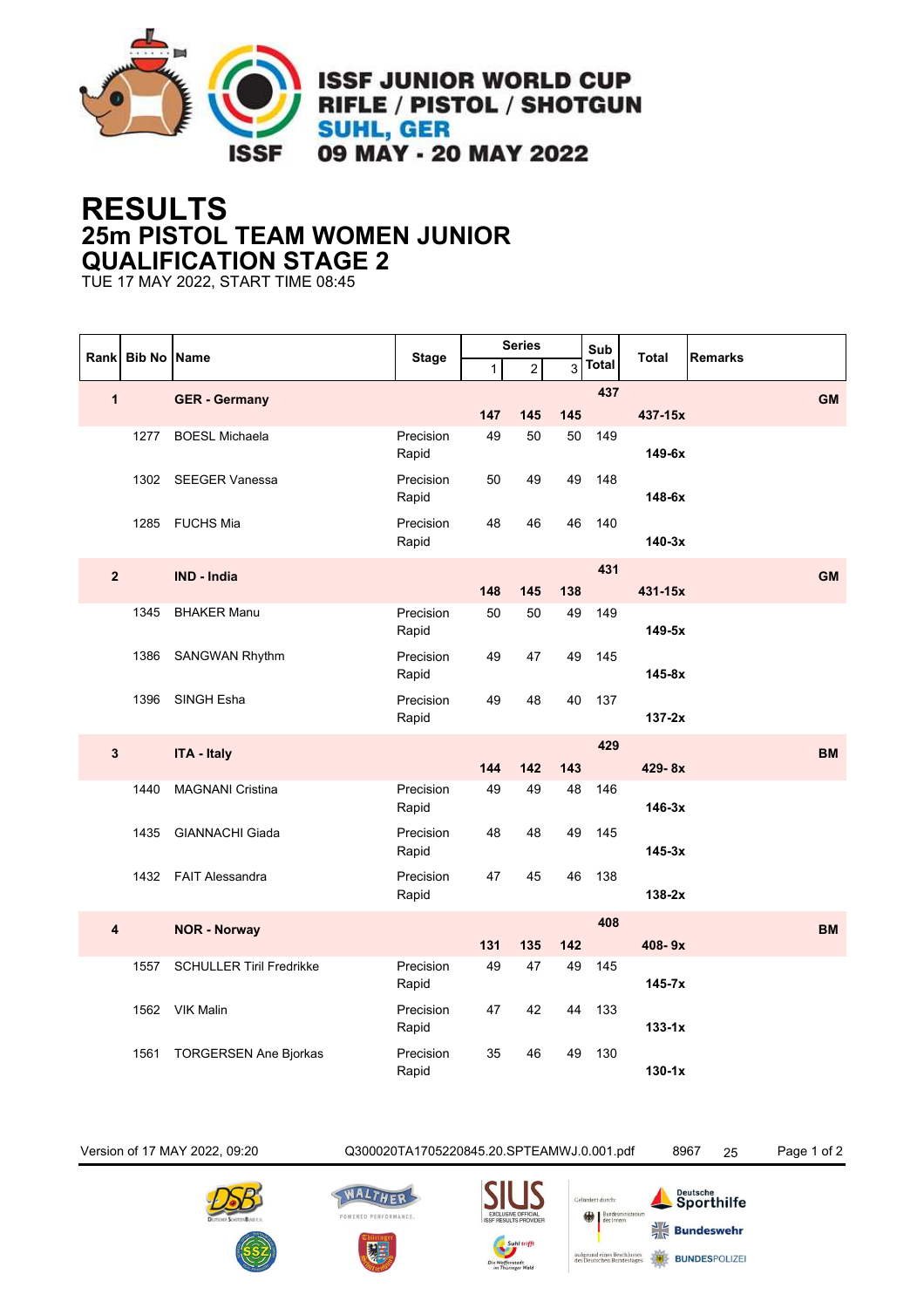

## **RESULTS 25m PISTOL TEAM WOMEN JUNIOR QUALIFICATION STAGE 2**

TUE 17 MAY 2022, START TIME 08:45

|                | Rank Bib No Name |                                 |                    |              | <b>Series</b> |                | Sub          |              |           |
|----------------|------------------|---------------------------------|--------------------|--------------|---------------|----------------|--------------|--------------|-----------|
|                |                  |                                 | <b>Stage</b>       | $\mathbf{1}$ | 2             | $\overline{3}$ | <b>Total</b> | <b>Total</b> | Remarks   |
| 1              |                  | <b>GER - Germany</b>            |                    | 147          | 145           | 145            | 437          | 437-15x      | <b>GM</b> |
|                | 1277             | <b>BOESL Michaela</b>           | Precision          | 49           | 50            | 50             | 149          |              |           |
|                |                  |                                 | Rapid              |              |               |                |              | 149-6x       |           |
|                | 1302             | <b>SEEGER Vanessa</b>           | Precision<br>Rapid | 50           | 49            | 49             | 148          | $148-6x$     |           |
|                | 1285             | <b>FUCHS Mia</b>                | Precision<br>Rapid | 48           | 46            | 46             | 140          | $140-3x$     |           |
|                |                  |                                 |                    |              |               |                | 431          |              |           |
| $\overline{2}$ |                  | <b>IND - India</b>              |                    | 148          | 145           | 138            |              | 431-15x      | <b>GM</b> |
|                | 1345             | <b>BHAKER Manu</b>              | Precision<br>Rapid | 50           | 50            | 49             | 149          | 149-5x       |           |
|                | 1386             | SANGWAN Rhythm                  | Precision<br>Rapid | 49           | 47            | 49             | 145          | $145-8x$     |           |
|                | 1396             | SINGH Esha                      | Precision<br>Rapid | 49           | 48            | 40             | 137          | $137-2x$     |           |
|                |                  |                                 |                    |              |               |                | 429          |              |           |
| $\mathbf{3}$   |                  | <b>ITA - Italy</b>              |                    | 144          | 142           | 143            |              | 429-8x       | <b>BM</b> |
|                | 1440             | <b>MAGNANI Cristina</b>         | Precision<br>Rapid | 49           | 49            | 48             | 146          | $146-3x$     |           |
|                | 1435             | <b>GIANNACHI Giada</b>          | Precision<br>Rapid | 48           | 48            | 49             | 145          | $145-3x$     |           |
|                | 1432             | <b>FAIT Alessandra</b>          | Precision<br>Rapid | 47           | 45            | 46             | 138          | $138-2x$     |           |
| 4              |                  | <b>NOR - Norway</b>             |                    |              |               |                | 408          |              | <b>BM</b> |
|                |                  |                                 |                    | 131          | 135           | 142            |              | 408-9x       |           |
|                | 1557             | <b>SCHULLER Tiril Fredrikke</b> | Precision<br>Rapid | 49           | 47            | 49             | 145          | $145 - 7x$   |           |
|                | 1562             | <b>VIK Malin</b>                | Precision<br>Rapid | 47           | 42            | 44             | 133          | $133-1x$     |           |
|                | 1561             | <b>TORGERSEN Ane Bjorkas</b>    | Precision<br>Rapid | 35           | 46            | 49             | 130          | $130-1x$     |           |

Version of 17 MAY 2022, 09:20 Q300020TA1705220845.20.SPTEAMWJ.0.001.pdf 8967 25 Page 1 of 2









Bundesm

| <b>Deutsche</b><br>Sporthilfe |
|-------------------------------|
| $\frac{1}{4}$ Bundeswehr      |

**BUNDESPOLIZER**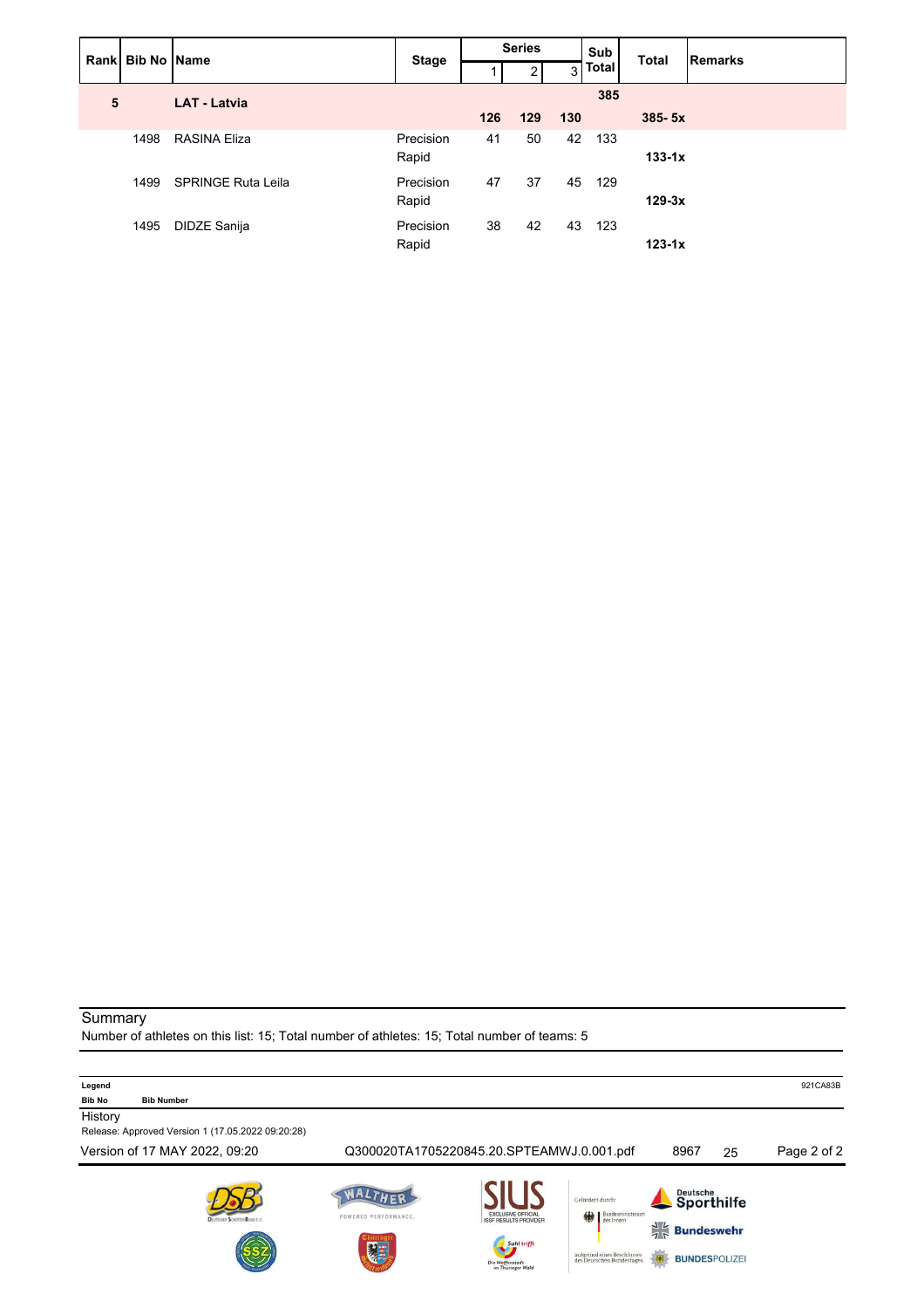|   | Rank Bib No Name    |                           | <b>Stage</b>       | <b>Series</b> |     |     | Sub          | <b>Total</b> | Remarks |
|---|---------------------|---------------------------|--------------------|---------------|-----|-----|--------------|--------------|---------|
|   |                     |                           |                    |               | 2   | 3   | <b>Total</b> |              |         |
| 5 | <b>LAT - Latvia</b> |                           |                    |               |     |     | 385          |              |         |
|   |                     |                           |                    | 126           | 129 | 130 |              | $385 - 5x$   |         |
|   | 1498                | <b>RASINA Eliza</b>       | Precision<br>Rapid | 41            | 50  | 42  | 133          | $133-1x$     |         |
|   | 1499                | <b>SPRINGE Ruta Leila</b> | Precision<br>Rapid | 47            | 37  | 45  | 129          | $129-3x$     |         |
|   | 1495                | DIDZE Sanija              | Precision<br>Rapid | 38            | 42  | 43  | 123          | $123-1x$     |         |

#### Summary

Number of athletes on this list: 15; Total number of athletes: 15; Total number of teams: 5

| Legend                                                                                             |                           |                                                                                                                                                                                                                                         |                                                                          |                        | 921CA83B    |
|----------------------------------------------------------------------------------------------------|---------------------------|-----------------------------------------------------------------------------------------------------------------------------------------------------------------------------------------------------------------------------------------|--------------------------------------------------------------------------|------------------------|-------------|
| <b>Bib No</b><br><b>Bib Number</b><br>History<br>Release: Approved Version 1 (17.05.2022 09:20:28) |                           |                                                                                                                                                                                                                                         |                                                                          |                        |             |
| Version of 17 MAY 2022, 09:20                                                                      |                           | Q300020TA1705220845.20.SPTEAMWJ.0.001.pdf                                                                                                                                                                                               | 8967                                                                     | 25                     | Page 2 of 2 |
| Drutscien Scientisti Busin I.V.                                                                    | POWERED PERFORMANCE.<br>建 | Gefördert durch:<br><b>EXCLUSIVE OFFICIAL</b><br>Bundesministerium<br>des Innern<br>缘<br><b>ISSF RESULTS PROVIDER</b><br>Suhl trifft<br>aufgrund eines Beschlusses<br>des Deutschen Bundestages<br>Die Waffenstadt<br>im Thüringer Wald | $\frac{1}{7}$ $\frac{1}{7}$<br><b>Bundeswehr</b><br><b>BUNDESPOLIZEI</b> | Deutsche<br>Sporthilfe |             |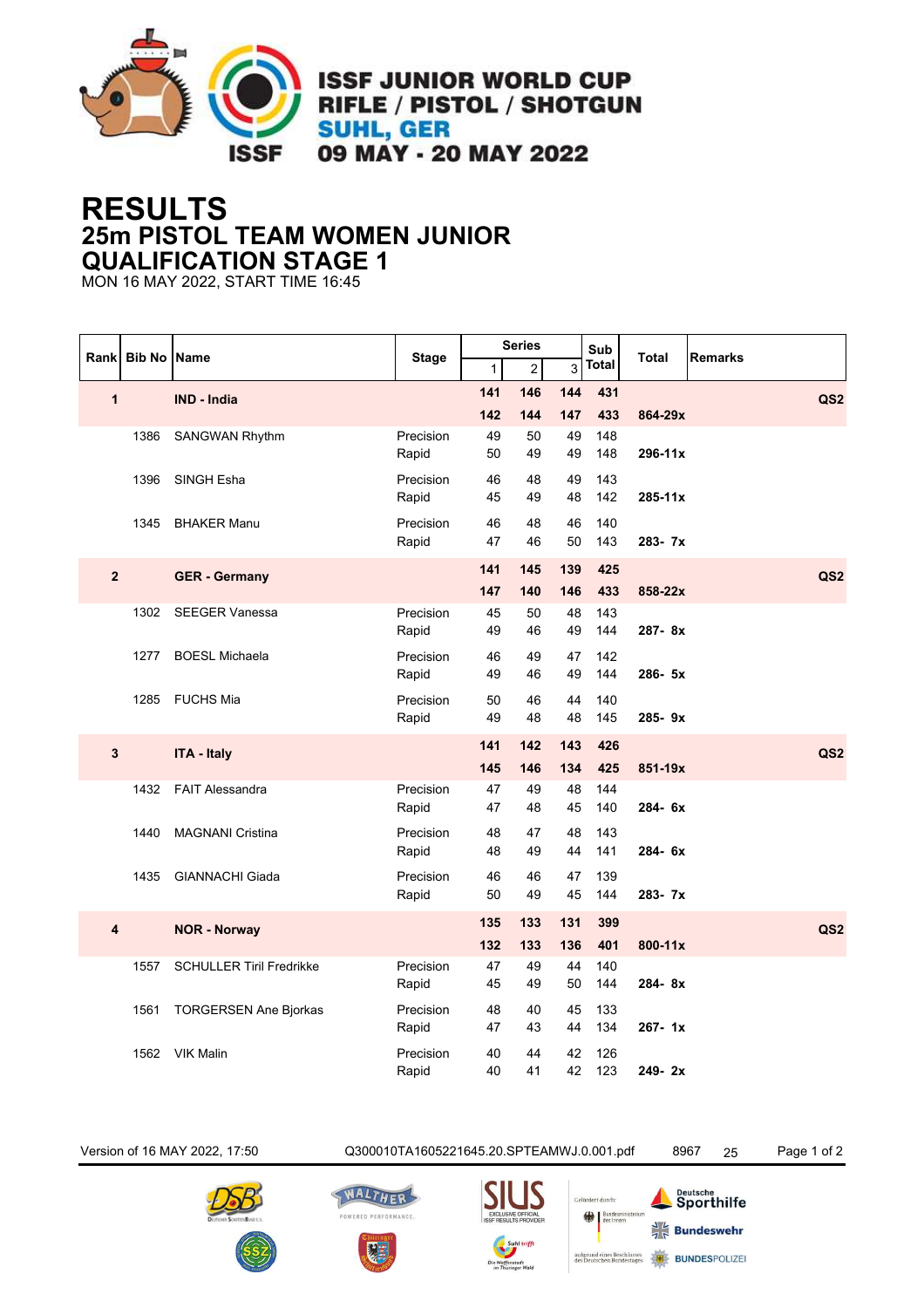

## **RESULTS 25m PISTOL TEAM WOMEN JUNIOR QUALIFICATION STAGE 1**

MON 16 MAY 2022, START TIME 16:45

|                         | Rank Bib No Name |                                 |                    |              | <b>Series</b>  |          | Sub          |              |                 |
|-------------------------|------------------|---------------------------------|--------------------|--------------|----------------|----------|--------------|--------------|-----------------|
|                         |                  |                                 | <b>Stage</b>       | $\mathbf{1}$ | $\overline{c}$ | 3        | <b>Total</b> | <b>Total</b> | <b>Remarks</b>  |
| $\mathbf{1}$            |                  | <b>IND - India</b>              |                    | 141          | 146            | 144      | 431          |              | QS <sub>2</sub> |
|                         |                  |                                 |                    | 142          | 144            | 147      | 433          | 864-29x      |                 |
|                         | 1386             | <b>SANGWAN Rhythm</b>           | Precision          | 49           | 50             | 49       | 148          |              |                 |
|                         |                  |                                 | Rapid              | 50           | 49             | 49       | 148          | 296-11x      |                 |
|                         | 1396             | SINGH Esha                      | Precision          | 46           | 48             | 49       | 143          |              |                 |
|                         |                  |                                 | Rapid              | 45           | 49             | 48       | 142          | $285 - 11x$  |                 |
|                         | 1345             | <b>BHAKER Manu</b>              | Precision          | 46           | 48             | 46       | 140          |              |                 |
|                         |                  |                                 | Rapid              | 47           | 46             | 50       | 143          | 283-7x       |                 |
| $\overline{\mathbf{2}}$ |                  | <b>GER - Germany</b>            |                    | 141          | 145            | 139      | 425          |              | QS <sub>2</sub> |
|                         |                  |                                 |                    | 147          | 140            | 146      | 433          | 858-22x      |                 |
|                         | 1302             | <b>SEEGER Vanessa</b>           | Precision          | 45           | 50             | 48       | 143          |              |                 |
|                         |                  |                                 | Rapid              | 49           | 46             | 49       | 144          | 287-8x       |                 |
|                         | 1277             | <b>BOESL Michaela</b>           | Precision          | 46           | 49             | 47       | 142          |              |                 |
|                         |                  |                                 | Rapid              | 49           | 46             | 49       | 144          | 286-5x       |                 |
|                         |                  | 1285 FUCHS Mia                  | Precision          | 50           | 46             | 44       | 140          |              |                 |
|                         |                  |                                 | Rapid              | 49           | 48             | 48       | 145          | 285-9x       |                 |
|                         |                  |                                 |                    | 141          | 142            | 143      | 426          |              |                 |
| $\mathbf{3}$            |                  | <b>ITA - Italy</b>              |                    | 145          | 146            | 134      | 425          | 851-19x      | QS <sub>2</sub> |
|                         | 1432             | <b>FAIT Alessandra</b>          | Precision          | 47           | 49             | 48       | 144          |              |                 |
|                         |                  |                                 | Rapid              | 47           | 48             | 45       | 140          | 284-6x       |                 |
|                         | 1440             | MAGNANI Cristina                | Precision          | 48           | 47             | 48       | 143          |              |                 |
|                         |                  |                                 | Rapid              | 48           | 49             | 44       | 141          | 284-6x       |                 |
|                         |                  |                                 |                    |              |                |          |              |              |                 |
|                         | 1435             | <b>GIANNACHI Giada</b>          | Precision<br>Rapid | 46<br>50     | 46<br>49       | 47<br>45 | 139<br>144   | $283 - 7x$   |                 |
|                         |                  |                                 |                    |              |                |          |              |              |                 |
| 4                       |                  | <b>NOR - Norway</b>             |                    | 135          | 133            | 131      | 399          |              | QS <sub>2</sub> |
|                         |                  |                                 |                    | 132          | 133            | 136      | 401          | 800-11x      |                 |
|                         | 1557             | <b>SCHULLER Tiril Fredrikke</b> | Precision          | 47           | 49             | 44       | 140          |              |                 |
|                         |                  |                                 | Rapid              | 45           | 49             | 50       | 144          | 284-8x       |                 |
|                         | 1561             | <b>TORGERSEN Ane Bjorkas</b>    | Precision          | 48           | 40             | 45       | 133          |              |                 |
|                         |                  |                                 | Rapid              | 47           | 43             | 44       | 134          | $267 - 1x$   |                 |
|                         | 1562             | <b>VIK Malin</b>                | Precision          | 40           | 44             | 42       | 126          |              |                 |
|                         |                  |                                 | Rapid              | 40           | 41             | 42       | 123          | $249 - 2x$   |                 |

Version of 16 MAY 2022, 17:50 Q300010TA1605221645.20.SPTEAMWJ.0.001.pdf 8967 25 Page 1 of 2